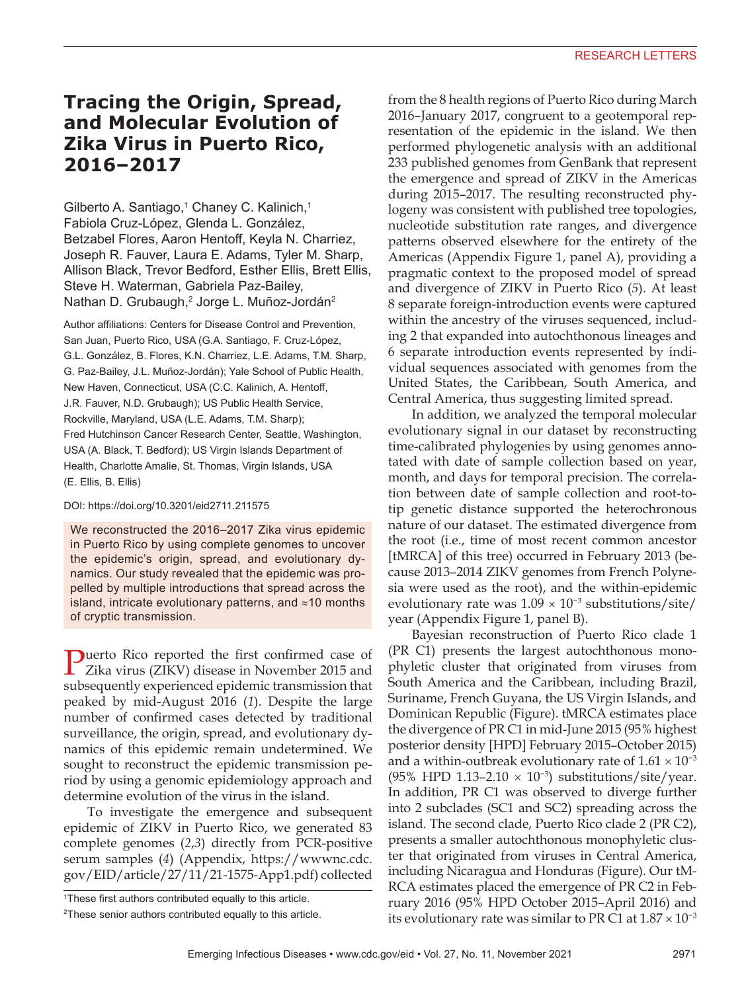# **Tracing the Origin, Spread, and Molecular Evolution of Zika Virus in Puerto Rico, 2016–2017**

Gilberto A. Santiago,<sup>1</sup> Chaney C. Kalinich,<sup>1</sup> Fabiola Cruz-López, Glenda L. González, Betzabel Flores, Aaron Hentoff, Keyla N. Charriez, Joseph R. Fauver, Laura E. Adams, Tyler M. Sharp, Allison Black, Trevor Bedford, Esther Ellis, Brett Ellis, Steve H. Waterman, Gabriela Paz-Bailey, Nathan D. Grubaugh,<sup>2</sup> Jorge L. Muñoz-Jordán<sup>2</sup>

Author affiliations: Centers for Disease Control and Prevention, San Juan, Puerto Rico, USA (G.A. Santiago, F. Cruz-López, G.L. González, B. Flores, K.N. Charriez, L.E. Adams, T.M. Sharp, G. Paz-Bailey, J.L. Muñoz-Jordán); Yale School of Public Health, New Haven, Connecticut, USA (C.C. Kalinich, A. Hentoff, J.R. Fauver, N.D. Grubaugh); US Public Health Service, Rockville, Maryland, USA (L.E. Adams, T.M. Sharp); Fred Hutchinson Cancer Research Center, Seattle, Washington, USA (A. Black, T. Bedford); US Virgin Islands Department of Health, Charlotte Amalie, St. Thomas, Virgin Islands, USA (E. Ellis, B. Ellis)

#### DOI: https://doi.org/10.3201/eid2711.211575

We reconstructed the 2016–2017 Zika virus epidemic in Puerto Rico by using complete genomes to uncover the epidemic's origin, spread, and evolutionary dynamics. Our study revealed that the epidemic was propelled by multiple introductions that spread across the island, intricate evolutionary patterns, and ≈10 months of cryptic transmission.

Puerto Rico reported the first confirmed case of Zika virus (ZIKV) disease in November 2015 and subsequently experienced epidemic transmission that peaked by mid-August 2016 (*1*). Despite the large number of confirmed cases detected by traditional surveillance, the origin, spread, and evolutionary dynamics of this epidemic remain undetermined. We sought to reconstruct the epidemic transmission period by using a genomic epidemiology approach and determine evolution of the virus in the island.

To investigate the emergence and subsequent epidemic of ZIKV in Puerto Rico, we generated 83 complete genomes (*2*,*3*) directly from PCR-positive serum samples (*4*) (Appendix, https://wwwnc.cdc. gov/EID/article/27/11/21-1575-App1.pdf) collected

1 These first authors contributed equally to this article.

from the 8 health regions of Puerto Rico during March 2016–January 2017, congruent to a geotemporal representation of the epidemic in the island. We then performed phylogenetic analysis with an additional 233 published genomes from GenBank that represent the emergence and spread of ZIKV in the Americas during 2015–2017. The resulting reconstructed phylogeny was consistent with published tree topologies, nucleotide substitution rate ranges, and divergence patterns observed elsewhere for the entirety of the Americas (Appendix Figure 1, panel A), providing a pragmatic context to the proposed model of spread and divergence of ZIKV in Puerto Rico (*5*). At least 8 separate foreign-introduction events were captured within the ancestry of the viruses sequenced, including 2 that expanded into autochthonous lineages and 6 separate introduction events represented by individual sequences associated with genomes from the United States, the Caribbean, South America, and Central America, thus suggesting limited spread.

In addition, we analyzed the temporal molecular evolutionary signal in our dataset by reconstructing time-calibrated phylogenies by using genomes annotated with date of sample collection based on year, month, and days for temporal precision. The correlation between date of sample collection and root-totip genetic distance supported the heterochronous nature of our dataset. The estimated divergence from the root (i.e., time of most recent common ancestor [tMRCA] of this tree) occurred in February 2013 (because 2013–2014 ZIKV genomes from French Polynesia were used as the root), and the within-epidemic evolutionary rate was  $1.09 \times 10^{-3}$  substitutions/site/ year (Appendix Figure 1, panel B).

Bayesian reconstruction of Puerto Rico clade 1 (PR C1) presents the largest autochthonous monophyletic cluster that originated from viruses from South America and the Caribbean, including Brazil, Suriname, French Guyana, the US Virgin Islands, and Dominican Republic (Figure). tMRCA estimates place the divergence of PR C1 in mid-June 2015 (95% highest posterior density [HPD] February 2015–October 2015) and a within-outbreak evolutionary rate of  $1.61 \times 10^{-3}$ (95% HPD 1.13–2.10 × 10<sup>-3</sup>) substitutions/site/year. In addition, PR C1 was observed to diverge further into 2 subclades (SC1 and SC2) spreading across the island. The second clade, Puerto Rico clade 2 (PR C2), presents a smaller autochthonous monophyletic cluster that originated from viruses in Central America, including Nicaragua and Honduras (Figure). Our tM-RCA estimates placed the emergence of PR C2 in February 2016 (95% HPD October 2015–April 2016) and its evolutionary rate was similar to PR C1 at  $1.87 \times 10^{-3}$ 

<sup>2</sup> These senior authors contributed equally to this article.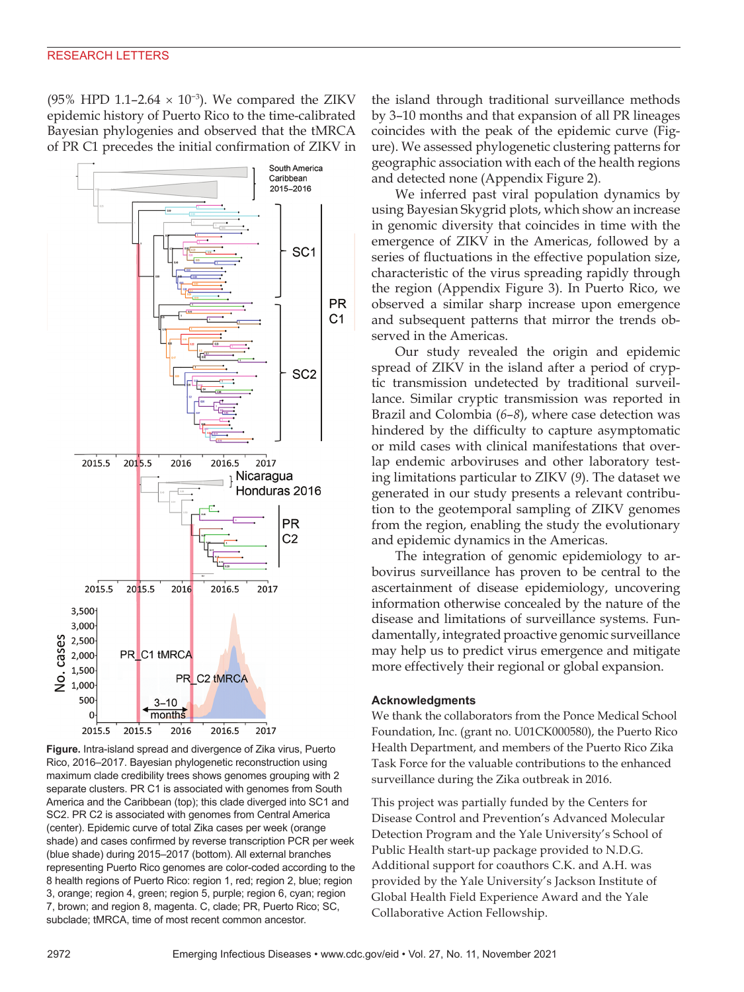(95% HPD 1.1–2.64  $\times$  10<sup>-3</sup>). We compared the ZIKV epidemic history of Puerto Rico to the time-calibrated Bayesian phylogenies and observed that the tMRCA of PR C1 precedes the initial confirmation of ZIKV in



**Figure.** Intra-island spread and divergence of Zika virus, Puerto Rico, 2016–2017. Bayesian phylogenetic reconstruction using maximum clade credibility trees shows genomes grouping with 2 separate clusters. PR C1 is associated with genomes from South America and the Caribbean (top); this clade diverged into SC1 and SC2. PR C2 is associated with genomes from Central America (center). Epidemic curve of total Zika cases per week (orange shade) and cases confirmed by reverse transcription PCR per week (blue shade) during 2015–2017 (bottom). All external branches representing Puerto Rico genomes are color-coded according to the 8 health regions of Puerto Rico: region 1, red; region 2, blue; region 3, orange; region 4, green; region 5, purple; region 6, cyan; region 7, brown; and region 8, magenta. C, clade; PR, Puerto Rico; SC, subclade; tMRCA, time of most recent common ancestor.

the island through traditional surveillance methods by 3–10 months and that expansion of all PR lineages coincides with the peak of the epidemic curve (Figure). We assessed phylogenetic clustering patterns for geographic association with each of the health regions and detected none (Appendix Figure 2).

We inferred past viral population dynamics by using Bayesian Skygrid plots, which show an increase in genomic diversity that coincides in time with the emergence of ZIKV in the Americas, followed by a series of fluctuations in the effective population size, characteristic of the virus spreading rapidly through the region (Appendix Figure 3). In Puerto Rico, we observed a similar sharp increase upon emergence and subsequent patterns that mirror the trends observed in the Americas.

Our study revealed the origin and epidemic spread of ZIKV in the island after a period of cryptic transmission undetected by traditional surveillance. Similar cryptic transmission was reported in Brazil and Colombia (*6*–*8*), where case detection was hindered by the difficulty to capture asymptomatic or mild cases with clinical manifestations that overlap endemic arboviruses and other laboratory testing limitations particular to ZIKV (*9*). The dataset we generated in our study presents a relevant contribution to the geotemporal sampling of ZIKV genomes from the region, enabling the study the evolutionary and epidemic dynamics in the Americas.

The integration of genomic epidemiology to arbovirus surveillance has proven to be central to the ascertainment of disease epidemiology, uncovering information otherwise concealed by the nature of the disease and limitations of surveillance systems. Fundamentally, integrated proactive genomic surveillance may help us to predict virus emergence and mitigate more effectively their regional or global expansion.

#### **Acknowledgments**

We thank the collaborators from the Ponce Medical School Foundation, Inc. (grant no. U01CK000580), the Puerto Rico Health Department, and members of the Puerto Rico Zika Task Force for the valuable contributions to the enhanced surveillance during the Zika outbreak in 2016.

This project was partially funded by the Centers for Disease Control and Prevention's Advanced Molecular Detection Program and the Yale University's School of Public Health start-up package provided to N.D.G. Additional support for coauthors C.K. and A.H. was provided by the Yale University's Jackson Institute of Global Health Field Experience Award and the Yale Collaborative Action Fellowship.